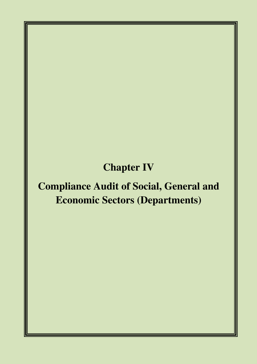# **Chapter IV**

# **Compliance Audit of Social, General and Economic Sectors (Departments)**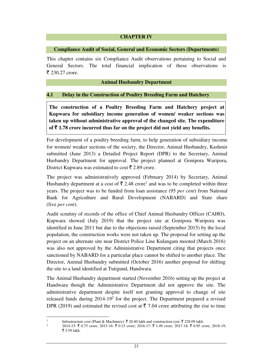#### **CHAPTER IV**

#### **Compliance Audit of Social, General and Economic Sectors (Departments)**

This chapter contains six Compliance Audit observations pertaining to Social and General Sectors. The total financial implication of these observations is  $\bar{z}$  230.27 crore.

#### **Animal Husbandry Department**

#### **4.1 Delay in the Construction of Poultry Breeding Farm and Hatchery**

**The construction of a Poultry Breeding Farm and Hatchery project at Kupwara for subsidiary income generation of women/ weaker sections was taken up without administrative approval of the changed site. The expenditure**  of  $\bar{\tau}$  1.78 crore incurred thus far on the project did not yield any benefits.

For development of a poultry breeding farm, to help generation of subsidiary income for women/ weaker sections of the society, the Director, Animal Husbandry, Kashmir submitted (June 2013) a Detailed Project Report (DPR) to the Secretary, Animal Husbandry Department for approval. The project planned at Gonipora Waripora, District Kupwara was estimated to cost  $\bar{\tau}$  2.89 crore.

The project was administratively approved (February 2014) by Secretary, Animal Husbandry department at a cost of  $\bar{\tau}$  2.48 crore<sup>1</sup> and was to be completed within three years. The project was to be funded from loan assistance (95 *per cent*) from National Bank for Agriculture and Rural Development (NABARD) and State share (five *per cent*).

Audit scrutiny of records of the office of Chief Animal Husbandry Officer (CAHO), Kupwara showed (July 2019) that the project site at Gonipora Waripora was identified in June 2011 but due to the objections raised (September 2015) by the local population, the construction works were not taken up. The proposal for setting up the project on an alternate site near District Police Line Kulangam mooted (March 2016) was also not approved by the Administrative Department citing that projects once sanctioned by NABARD for a particular place cannot be shifted to another place. The Director, Animal Husbandry submitted (October 2016) another proposal for shifting the site to a land identified at Tutigund, Handwara.

The Animal Husbandry department started (November 2016) setting up the project at Handwara though the Administrative Department did not approve the site. The administrative department despite itself not granting approval to change of site released funds during  $2014-19<sup>2</sup>$  for the project. The Department prepared a revised DPR (2019) and estimated the revised cost at  $\bar{\tau}$  7.04 crore attributing the rise to time

 $\overline{a}$ 1

2

Infrastructure cost (Plant & Machinery):  $\bar{\tau}$  20.40 lakh and construction cost:  $\bar{\tau}$  228.09 lakh.

<sup>2014-15: ₹ 0.75</sup> crore; 2015-16: ₹ 0.15 crore; 2016-17: ₹ 1.49 crore; 2017-18: ₹ 0.95 crore; 2018-19;  $\overline{5}$  3.59 lakh.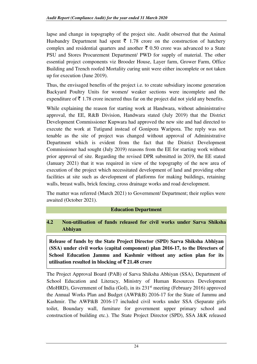lapse and change in topography of the project site. Audit observed that the Animal Husbandry Department had spent  $\bar{\tau}$  1.78 crore on the construction of hatchery complex and residential quarters and another  $\bar{\tau}$  0.50 crore was advanced to a State PSU and Stores Procurement Department/ PWD for supply of material. The other essential project components viz Brooder House, Layer farm, Grower Farm, Office Building and Trench roofed Mortality curing unit were either incomplete or not taken up for execution (June 2019).

Thus, the envisaged benefits of the project i.e. to create subsidiary income generation Backyard Poultry Units for women/ weaker sections were incomplete and the expenditure of  $\bar{\tau}$  1.78 crore incurred thus far on the project did not yield any benefits.

While explaining the reason for starting work at Handwara, without administrative approval, the EE, R&B Division, Handwara stated (July 2019) that the District Development Commissioner Kupwara had approved the new site and had directed to execute the work at Tutigund instead of Gonipora Waripora. The reply was not tenable as the site of project was changed without approval of Administrative Department which is evident from the fact that the District Development Commissioner had sought (July 2019) reasons from the EE for starting work without prior approval of site. Regarding the revised DPR submitted in 2019, the EE stated (January 2021) that it was required in view of the topography of the new area of execution of the project which necessitated development of land and providing other facilities at site such as development of platforms for making buildings, retaining walls, breast walls, brick fencing, cross drainage works and road development.

The matter was referred (March 2021) to Government/ Department; their replies were awaited (October 2021).

## **Education Department**

## **4.2 Non-utilisation of funds released for civil works under Sarva Shiksha Abhiyan**

**Release of funds by the State Project Director (SPD) Sarva Shiksha Abhiyan (SSA) under civil works (capital component) plan 2016-17, to the Directors of School Education Jammu and Kashmir without any action plan for its utilisation resulted in blocking of**  $\bar{\tau}$  **21.48 crore** 

The Project Approval Board (PAB) of Sarva Shiksha Abhiyan (SSA), Department of School Education and Literacy, Ministry of Human Resources Development (MoHRD), Government of India (GoI), in its 231st meeting (February 2016) approved the Annual Works Plan and Budget (AWP&B) 2016-17 for the State of Jammu and Kashmir. The AWP&B 2016-17 included civil works under SSA (Separate girls toilet, Boundary wall, furniture for government upper primary school and construction of building etc.). The State Project Director (SPD), SSA J&K released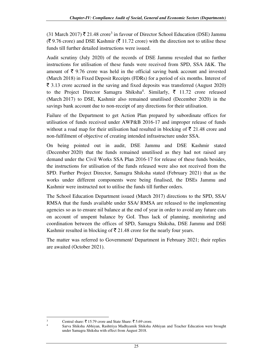$(31$  March 2017)  $\bar{\mathbf{z}}$  21.48 crore<sup>3</sup> in favour of Director School Education (DSE) Jammu  $(3, 9.76 \text{ core})$  and DSE Kashmir ( $\overline{5}$  11.72 crore) with the direction not to utilise these funds till further detailed instructions were issued.

Audit scrutiny (July 2020) of the records of DSE Jammu revealed that no further instructions for utilisation of these funds were received from SPD, SSA J&K. The amount of  $\bar{\tau}$  9.76 crore was held in the official saving bank account and invested (March 2018) in Fixed Deposit Receipts (FDRs) for a period of six months. Interest of  $\bar{\tau}$  3.13 crore accrued in the saving and fixed deposits was transferred (August 2020) to the Project Director Samagra Shiksha<sup>4</sup>. Similarly,  $\bar{\tau}$  11.72 crore released (March 2017) to DSE, Kashmir also remained unutilised (December 2020) in the savings bank account due to non-receipt of any directions for their utilisation.

Failure of the Department to get Action Plan prepared by subordinate offices for utilisation of funds received under AWP&B 2016-17 and improper release of funds without a road map for their utilisation had resulted in blocking of  $\bar{\tau}$  21.48 crore and non-fulfilment of objective of creating intended infrastructure under SSA.

On being pointed out in audit, DSE Jammu and DSE Kashmir stated (December 2020) that the funds remained unutilised as they had not raised any demand under the Civil Works SSA Plan 2016-17 for release of these funds besides, the instructions for utilisation of the funds released were also not received from the SPD. Further Project Director, Samagra Shiksha stated (February 2021) that as the works under different components were being finalised, the DSEs Jammu and Kashmir were instructed not to utilise the funds till further orders.

The School Education Department issued (March 2017) directions to the SPD, SSA/ RMSA that the funds available under SSA/ RMSA are released to the implementing agencies so as to ensure nil balance at the end of year in order to avoid any future cuts on account of unspent balance by GoI. Thus lack of planning, monitoring and coordination between the offices of SPD, Samagra Shiksha, DSE Jammu and DSE Kashmir resulted in blocking of  $\bar{\tau}$  21.48 crore for the nearly four years.

The matter was referred to Government/ Department in February 2021; their replies are awaited (October 2021).

 $\overline{a}$ 3

4

Central share:  $\bar{\tau}$  15.79 crore and State Share:  $\bar{\tau}$  5.69 crore.

Sarva Shiksha Abhiyan, Rashtriya Madhyamik Shiksha Abhiyan and Teacher Education were brought under Samagra Shiksha with effect from August 2018.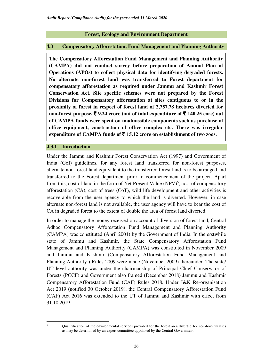#### **Forest, Ecology and Environment Department**

#### **4.3 Compensatory Afforestation, Fund Management and Planning Authority**

**The Compensatory Afforestation Fund Management and Planning Authority (CAMPA) did not conduct survey before preparation of Annual Plan of Operations (APOs) to collect physical data for identifying degraded forests. No alternate non-forest land was transferred to Forest department for compensatory afforestation as required under Jammu and Kashmir Forest Conservation Act. Site specific schemes were not prepared by the Forest Divisions for Compensatory afforestation at sites contiguous to or in the proximity of forest in respect of forest land of 2,757.78 hectares diverted for non-forest purpose.** ` **9.24 crore (out of total expenditure of** ` **140.25 core) out of CAMPA funds were spent on inadmissible components such as purchase of office equipment, construction of office complex etc. There was irregular expenditure of CAMPA funds of** ` **15.12 crore on establishment of two zoos.** 

#### **4.3.1 Introduction**

Under the Jammu and Kashmir Forest Conservation Act (1997) and Government of India (GoI) guidelines, for any forest land transferred for non-forest purposes, alternate non-forest land equivalent to the transferred forest land is to be arranged and transferred to the Forest department prior to commencement of the project. Apart from this, cost of land in the form of Net Present Value  $(NPV)^5$ , cost of compensatory afforestation (CA), cost of trees (CoT), wild life development and other activities is recoverable from the user agency to which the land is diverted. However, in case alternate non-forest land is not available, the user agency will have to bear the cost of CA in degraded forest to the extent of double the area of forest land diverted.

In order to manage the money received on account of diversion of forest land, Central Adhoc Compensatory Afforestation Fund Management and Planning Authority (CAMPA) was constituted (April 2004) by the Government of India. In the erstwhile state of Jammu and Kashmir, the State Compensatory Afforestation Fund Management and Planning Authority (CAMPA) was constituted in November 2009 and Jammu and Kashmir (Compensatory Afforestation Fund Management and Planning Authority ) Rules 2009 were made (November 2009) thereunder. The state/ UT level authority was under the chairmanship of Principal Chief Conservator of Forests (PCCF) and Government also framed (December 2018) Jammu and Kashmir Compensatory Afforestation Fund (CAF) Rules 2018. Under J&K Re-organisation Act 2019 (notified 30 October 2019), the Central Compensatory Afforestation Fund (CAF) Act 2016 was extended to the UT of Jammu and Kashmir with effect from 31.10.2019.

Quantification of the environmental services provided for the forest area diverted for non-forestry uses as may be determined by an expert committee appointed by the Central Government.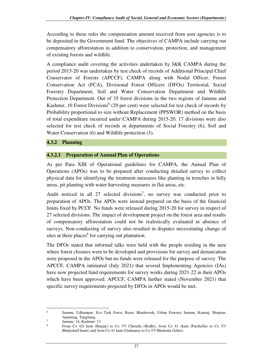According to these rules the compensation amount received from user agencies is to be deposited in the Government fund. The objectives of CAMPA include carrying out compensatory afforestation in addition to conservation, protection, and management of existing forests and wildlife.

A compliance audit covering the activities undertaken by J&K CAMPA during the period 2015-20 was undertaken by test check of records of Additional Principal Chief Conservator of Forests (APCCF), CAMPA along with Nodal Officer, Forest Conservation Act (FCA), Divisional Forest Officers (DFOs) Territorial, Social Forestry Department, Soil and Water Conservation Department and Wildlife Protection Department. Out of 35 forest divisions in the two regions of Jammu and Kashmir, 10 Forest Divisions<sup>6</sup> (29 per cent) were selected for test check of records by Probability proportional to size without Replacement (PPSWOR) method on the basis of total expenditure incurred under CAMPA during 2015-20. 17 divisions were also selected for test check of records in departments of Social Forestry (6), Soil and Water Conservation (6) and Wildlife protection (5).

## **4.3.2 Planning**

#### **4.3.2.1 Preparation of Annual Plan of Operations**

As per Para XIII of Operational guidelines for CAMPA, the Annual Plan of Operations (APOs) was to be prepared after conducting detailed survey to collect physical data for identifying the treatment measures like planting in trenches in hilly areas, pit planting with water harvesting measures in flat areas, etc.

Audit noticed in all  $27$  selected divisions<sup>7</sup>, no survey was conducted prior to preparation of APOs. The APOs were instead prepared on the basis of the financial limits fixed by PCCF. No funds were released during 2015-20 for survey in respect of 27 selected divisions. The impact of development project on the forest area and results of compensatory afforestation could not be realistically evaluated in absence of surveys. Non-conducting of survey also resulted in disputes necessitating change of sites at three places<sup>8</sup> for carrying out plantation.

The DFOs stated that informal talks were held with the people residing in the area where forest closures were to be developed and provisions for survey and demarcation were proposed in the APOs but no funds were released for the purpose of survey. The APCCF, CAMPA intimated (July 2021) that several Implementing Agencies (IAs) have now projected fund requirements for survey works during 2021-22 in their APOs which have been approved. APCCF, CAMPA further stated (November 2021) that specific survey requirements projected by DFOs in APOs would be met.

<sup>6</sup> Jammu, Udhampur, Eco Task Force, Reasi, Bhaderwah, Urban Forestry Jammu, Kamraj, Shopian, Anantnag, Tangmarg. 7

Jammu: 14, Kashmir: 13

<sup>8</sup> From Co 42/ kunt (Banjar) to Co 37/ Cheralla (Bodhi), from Co 41 /kunt (Parsholla) to Co 57/ Bhalesha(Chanti) and from Co 41 kunt (Gulmana) to Co 57/ Bhalesha (Icher).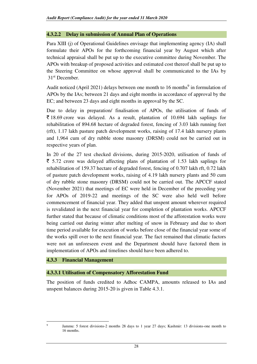## **4.3.2.2 Delay in submission of Annual Plan of Operations**

Para XIII (j) of Operational Guidelines envisage that implementing agency (IA) shall formulate their APOs for the forthcoming financial year by August which after technical appraisal shall be put up to the executive committee during November. The APOs with breakup of proposed activities and estimated cost thereof shall be put up to the Steering Committee on whose approval shall be communicated to the IAs by 31st December.

Audit noticed (April 2021) delays between one month to 16 months<sup>9</sup> in formulation of APOs by the IAs; between 21 days and eight months in accordance of approval by the EC; and between 23 days and eight months in approval by the SC.

Due to delay in preparation/ finalisation of APOs, the utilisation of funds of  $\overline{\xi}$  18.69 crore was delayed. As a result, plantation of 10.694 lakh saplings for rehabilitation of 894.68 hectare of degraded forest, fencing of 3.03 lakh running feet (rft), 1.17 lakh pasture patch development works, raising of 17.4 lakh nursery plants and 1,964 cum of dry rubble stone masonry (DRSM) could not be carried out in respective years of plan.

In 20 of the 27 test checked divisions, during 2015-2020, utilisation of funds of  $\bar{\tau}$  5.72 crore was delayed affecting plans of plantation of 1.53 lakh saplings for rehabilitation of 159.37 hectare of degraded forest, fencing of 0.707 lakh rft, 0.72 lakh of pasture patch development works, raising of 4.19 lakh nursery plants and 50 cum of dry rubble stone masonry (DRSM) could not be carried out. The APCCF stated (November 2021) that meetings of EC were held in December of the preceding year for APOs of 2019-22 and meetings of the SC were also held well before commencement of financial year. They added that unspent amount wherever required is revalidated in the next financial year for completion of plantation works. APCCF further stated that because of climatic conditions most of the afforestation works were being carried out during winter after melting of snow in February and due to short time period available for execution of works before close of the financial year some of the works spill over to the next financial year. The fact remained that climatic factors were not an unforeseen event and the Department should have factored them in implementation of APOs and timelines should have been adhered to.

## **4.3.3 Financial Management**

## **4.3.3.1 Utilisation of Compensatory Afforestation Fund**

The position of funds credited to Adhoc CAMPA, amounts released to IAs and unspent balances during 2015-20 is given in Table 4.3.1.

Jammu: 5 forest divisions-2 months 28 days to 1 year 27 days; Kashmir: 13 divisions-one month to 16 months.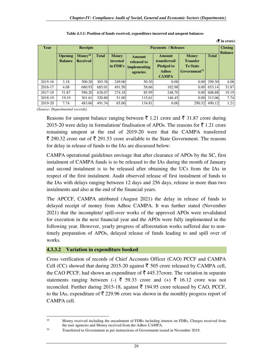$(\mathcal{F}$  in crore)

| Year    |                                  | <b>Receipts</b>                          |              |                                        | <b>Payments / Releases</b>                                      |                                                                                    |                                                                                |        |                |  |
|---------|----------------------------------|------------------------------------------|--------------|----------------------------------------|-----------------------------------------------------------------|------------------------------------------------------------------------------------|--------------------------------------------------------------------------------|--------|----------------|--|
|         | <b>Opening</b><br><b>Balance</b> | $\mathbf{Money}^{10}$<br><b>Received</b> | <b>Total</b> | <b>Money</b><br>invested<br>in $FDR's$ | <b>Amount</b><br>released to<br><i>implementing</i><br>agencies | <b>Amount</b><br>transferred/<br><b>Pledged to</b><br><b>Adhoc</b><br><b>CAMPA</b> | <b>Money</b><br><b>Transfer</b><br><b>To State</b><br>Government <sup>11</sup> |        | <b>Balance</b> |  |
| 2015-16 | 3.18                             | 300.20                                   | 303.38       | 249.00                                 | 50.30                                                           | 0.00                                                                               | 0.00                                                                           | 299.30 | 4.08           |  |
| 2016-17 | 4.08                             | 680.93                                   | 685.01       | 491.50                                 | 58.66                                                           | 102.98                                                                             | 0.00                                                                           | 653.14 | 31.87          |  |
| 2017-18 | 31.87                            | 596.20                                   | 628.07       | 274.18                                 | 85.99                                                           | 248.70                                                                             | 0.00                                                                           | 608.88 | 19.19          |  |
| 2018-19 | 19.19                            | 301.61                                   | 320.80       | 51.00                                  | 115.61                                                          | 146.45                                                                             | 0.00                                                                           | 313.06 | 7.74           |  |
| 2019-20 | 7.74                             | 483.60                                   | 491.34       | 65.00                                  | 134.81                                                          | 0.00                                                                               | 290.32                                                                         | 490.12 | 1.21           |  |

|  |  | Table 4.3.1: Position of funds received, expenditure incurred and unspent balances |  |
|--|--|------------------------------------------------------------------------------------|--|
|  |  |                                                                                    |  |

*(Source: Departmental records)*

l

Reasons for unspent balance ranging between  $\bar{\tau}$  1.21 crore and  $\bar{\tau}$  31.87 crore during 2015-20 were delay in formulation/ finalisation of APOs. The reasons for  $\bar{\tau}$  1.21 crore remaining unspent at the end of 2019-20 were that the CAMPA transferred  $\bar{\xi}$  290.32 crore out of  $\bar{\xi}$  291.53 crore available to the State Government. The reasons for delay in release of funds to the IAs are discussed below:

CAMPA operational guidelines envisage that after clearance of APOs by the SC, first instalment of CAMPA funds is to be released to the IAs during the month of January and second instalment is to be released after obtaining the UCs from the IAs in respect of the first instalment. Audit observed release of first instalment of funds to the IAs with delays ranging between 12 days and 256 days, release in more than two instalments and also at the end of the financial years.

The APCCF, CAMPA attributed (August 2021) the delay in release of funds to delayed receipt of money from Adhoc CAMPA. It was further stated (November 2021) that the incomplete/ spill-over works of the approved APOs were revalidated for execution in the next financial year and the APOs were fully implemented in the following year. However, yearly progress of afforestation works suffered due to nontimely preparation of APOs, delayed release of funds leading to and spill over of works.

#### **4.3.3.2 Variation in expenditure booked**

Cross verification of records of Chief Accounts Officer (CAO) PCCF and CAMPA Cell (CC) showed that during 2015-20 against  $\bar{\xi}$  505 crore released by CAMPA cell, the CAO PCCF, had shown an expenditure of  $\bar{\tau}$  445.37crore. The variation in separate statements ranging between (-)  $\bar{\xi}$  59.33 crore and (+)  $\bar{\xi}$  16.12 crore was not reconciled. Further during 2015-18, against  $\bar{\tau}$  194.95 crore released by CAO, PCCF, to the IAs, expenditure of  $\bar{\tau}$  229.96 crore was shown in the monthly progress report of CAMPA cell.

<sup>&</sup>lt;sup>10</sup> Money received including the encashment of FDRs including interest on FDRs, Charges received from the user agencies and Money received from the Adhoc CAMPA.

<sup>11</sup> Transferred to Government as per instructions of Government issued in November 2019.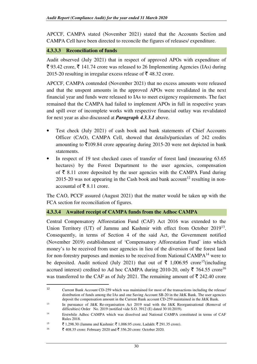APCCF, CAMPA stated (November 2021) stated that the Accounts Section and CAMPA Cell have been directed to reconcile the figures of releases/ expenditure.

#### **4.3.3.3 Reconciliation of funds**

Audit observed (July 2021) that in respect of approved APOs with expenditure of ₹ 93.42 crore, ₹ 141.74 crore was released to 26 Implementing Agencies (IAs) during 2015-20 resulting in irregular excess release of  $\bar{\tau}$  48.32 crore.

APCCF, CAMPA contended (November 2021) that no excess amounts were released and that the unspent amounts in the approved APOs were revalidated in the next financial year and funds were released to IAs to meet exigency requirements. The fact remained that the CAMPA had failed to implement APOs in full in respective years and spill over of incomplete works with respective financial outlay was revalidated for next year as also discussed at *Paragraph 4.3.3.1* above.

- Test check (July 2021) of cash book and bank statements of Chief Accounts Officer (CAO), CAMPA Cell, showed that details/particulars of 242 credits amounting to  $\bar{\mathfrak{Z}}$ 109.84 crore appearing during 2015-20 were not depicted in bank statements.
- In respect of 19 test checked cases of transfer of forest land (measuring 63.65) hectares) by the Forest Department to the user agencies, compensation of  $\bar{\xi}$  8.11 crore deposited by the user agencies with the CAMPA Fund during 2015-20 was not appearing in the Cash book and bank account<sup>12</sup> resulting in nonaccountal of ₹ 8.11 crore.

The CAO, PCCF assured (August 2021) that the matter would be taken up with the FCA section for reconciliation of figures.

#### **4.3.3.4 Awaited receipt of CAMPA funds from the Adhoc CAMPA**

Central Compensatory Afforestation Fund (CAF) Act 2016 was extended to the Union Territory (UT) of Jammu and Kashmir with effect from October 2019<sup>13</sup>. Consequently, in terms of Section 4 of the said Act, the Government notified (November 2019) establishment of 'Compensatory Afforestation Fund' into which money's to be received from user agencies in lieu of the diversion of the forest land for non-forestry purposes and monies to be received from National CAMPA<sup>14</sup> were to be deposited. Audit noticed (July 2021) that out of  $\bar{\tau}$  1,006.95 crore<sup>15</sup>(including accrued interest) credited to Ad hoc CAMPA during 2010-20, only  $\overline{5}$  764.55 crore<sup>16</sup> was transferred to the CAF as of July 2021. The remaining amount of  $\bar{\tau}$  242.40 crore

<sup>12</sup> Current Bank Account CD-259 which was maintained for most of the transactions including the release/ distribution of funds among the IAs and one Saving Account SB-20 in the J&K Bank. The user agencies deposit the compensation amount in the Current Bank account CD-259 maintained in the J&K Bank.

<sup>13</sup> In pursuance of J&K Re-organisation Act 2019 read with the J&K Reorganisational (Removal of difficulties) Order No. 2019 (notified vide S.O. 3912 (E) dated 30.10.2019).

<sup>14</sup> Erstwhile Adhoc CAMPA which was dissolved and National CAMPA constituted in terms of CAF Rules 2018.

<sup>&</sup>lt;sup>15</sup> ₹ 1,298.30 (Jammu and Kashmir: ₹ 1,006.95 crore, Ladakh: ₹ 291.35 crore).

 $16$   $\bar{\xi}$  408.35 crore: February 2020 and  $\bar{\xi}$  356.20 crore: October 2020.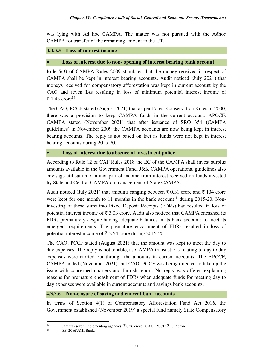was lying with Ad hoc CAMPA. The matter was not pursued with the Adhoc CAMPA for transfer of the remaining amount to the UT.

# **4.3.3.5 Loss of interest income**

#### • **Loss of interest due to non- opening of interest bearing bank account**

Rule 5(3) of CAMPA Rules 2009 stipulates that the money received in respect of CAMPA shall be kept in interest bearing accounts. Audit noticed (July 2021) that moneys received for compensatory afforestation was kept in current account by the CAO and seven IAs resulting in loss of minimum potential interest income of ₹ 1.43 crore<sup>17</sup>.

The CAO, PCCF stated (August 2021) that as per Forest Conservation Rules of 2000, there was a provision to keep CAMPA funds in the current account. APCCF, CAMPA stated (November 2021) that after issuance of SRO 354 (CAMPA guidelines) in November 2009 the CAMPA accounts are now being kept in interest bearing accounts. The reply is not based on fact as funds were not kept in interest bearing accounts during 2015-20.

#### • **Loss of interest due to absence of investment policy**

According to Rule 12 of CAF Rules 2018 the EC of the CAMPA shall invest surplus amounts available in the Government Fund. J&K CAMPA operational guidelines also envisage utilisation of minor part of income from interest received on funds invested by State and Central CAMPA on management of State CAMPA.

Audit noticed (July 2021) that amounts ranging between  $\bar{\xi}$  0.31 crore and  $\bar{\xi}$  104 crore were kept for one month to 11 months in the bank account<sup>18</sup> during 2015-20. Noninvesting of these sums into Fixed Deposit Receipts (FDRs) had resulted in loss of potential interest income of  $\bar{\mathbf{z}}$  3.03 crore. Audit also noticed that CAMPA encashed its FDRs prematurely despite having adequate balances in its bank accounts to meet its emergent requirements. The premature encashment of FDRs resulted in loss of potential interest income of  $\bar{\tau}$  2.54 crore during 2015-20.

The CAO, PCCF stated (August 2021) that the amount was kept to meet the day to day expenses. The reply is not tenable, as CAMPA transactions relating to day to day expenses were carried out through the amounts in current accounts. The APCCF, CAMPA added (November 2021) that CAO, PCCF was being directed to take up the issue with concerned quarters and furnish report. No reply was offered explaining reasons for premature encashment of FDRs when adequate funds for meeting day to day expenses were available in current accounts and savings bank accounts.

#### **4.3.3.6 Non-closure of saving and current bank accounts**

In terms of Section 4(1) of Compensatory Afforestation Fund Act 2016, the Government established (November 2019) a special fund namely State Compensatory

<sup>17</sup> Jammu (seven implementing agencies:  $\bar{\mathfrak{c}}$  0.26 crore), CAO, PCCF:  $\bar{\mathfrak{c}}$  1.17 crore.

SB-20 of J&K Bank.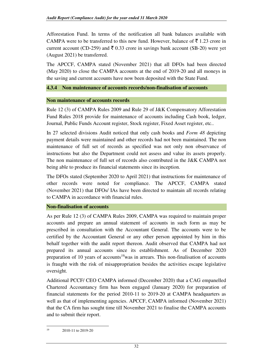Afforestation Fund. In terms of the notification all bank balances available with CAMPA were to be transferred to this new fund. However, balance of  $\bar{\tau}$  1.23 crore in current account (CD-259) and  $\bar{\tau}$  0.33 crore in savings bank account (SB-20) were yet (August 2021) be transferred.

The APCCF, CAMPA stated (November 2021) that all DFOs had been directed (May 2020) to close the CAMPA accounts at the end of 2019-20 and all moneys in the saving and current accounts have now been deposited with the State Fund.

# **4.3.4 Non maintenance of accounts records/non-finalisation of accounts**

#### **Non maintenance of accounts records**

Rule 12 (3) of CAMPA Rules 2009 and Rule 29 of J&K Compensatory Afforestation Fund Rules 2018 provide for maintenance of accounts including Cash book, ledger, Journal, Public Funds Account register, Stock register, Fixed Asset register, etc..

In 27 selected divisions Audit noticed that only cash books and *Form 48* depicting payment details were maintained and other records had not been maintained. The non maintenance of full set of records as specified was not only non observance of instructions but also the Department could not assess and value its assets properly. The non maintenance of full set of records also contributed in the J&K CAMPA not being able to produce its financial statements since its inception.

The DFOs stated (September 2020 to April 2021) that instructions for maintenance of other records were noted for compliance. The APCCF, CAMPA stated (November 2021) that DFOs/ IAs have been directed to maintain all records relating to CAMPA in accordance with financial rules.

## **Non-finalisation of accounts**

As per Rule 12 (3) of CAMPA Rules 2009, CAMPA was required to maintain proper accounts and prepare an annual statement of accounts in such form as may be prescribed in consultation with the Accountant General. The accounts were to be certified by the Accountant General or any other person appointed by him in this behalf together with the audit report thereon. Audit observed that CAMPA had not prepared its annual accounts since its establishment. As of December 2020 preparation of 10 years of accounts<sup>19</sup>was in arrears. This non-finalisation of accounts is fraught with the risk of misappropriation besides the activities escape legislative oversight.

Additional PCCF/ CEO CAMPA informed (December 2020) that a CAG empanelled Chartered Accountancy firm has been engaged (January 2020) for preparation of financial statements for the period 2010-11 to 2019-20 at CAMPA headquarters as well as that of implementing agencies. APCCF, CAMPA informed (November 2021) that the CA firm has sought time till November 2021 to finalise the CAMPA accounts and to submit their report.

 $19$  2010-11 to 2019-20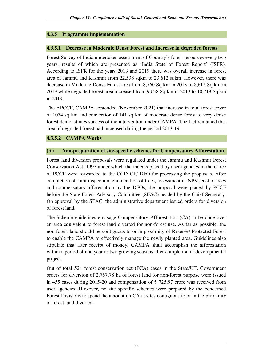# **4.3.5 Programme implementation**

## **4.3.5.1 Decrease in Moderate Dense Forest and Increase in degraded forests**

Forest Survey of India undertakes assessment of Country's forest resources every two years, results of which are presented as 'India State of Forest Report' (ISFR). According to ISFR for the years 2013 and 2019 there was overall increase in forest area of Jammu and Kashmir from 22,538 sqkm to 23,612 sqkm. However, there was decrease in Moderate Dense Forest area from 8,760 Sq km in 2013 to 8,612 Sq km in 2019 while degraded forest area increased from 9,638 Sq km in 2013 to 10,719 Sq km in 2019.

The APCCF, CAMPA contended (November 2021) that increase in total forest cover of 1074 sq km and conversion of 141 sq km of moderate dense forest to very dense forest demonstrates success of the intervention under CAMPA. The fact remained that area of degraded forest had increased during the period 2013-19.

# **4.3.5.2 CAMPA Works**

#### **(A) Non-preparation of site-specific schemes for Compensatory Afforestation**

Forest land diversion proposals were regulated under the Jammu and Kashmir Forest Conservation Act, 1997 under which the indents placed by user agencies in the office of PCCF were forwarded to the CCF/ CF/ DFO for processing the proposals. After completion of joint inspection, enumeration of trees, assessment of NPV, cost of trees and compensatory afforestation by the DFOs, the proposal were placed by PCCF before the State Forest Advisory Committee (SFAC) headed by the Chief Secretary. On approval by the SFAC, the administrative department issued orders for diversion of forest land.

The Scheme guidelines envisage Compensatory Afforestation (CA) to be done over an area equivalent to forest land diverted for non-forest use. As far as possible, the non-forest land should be contiguous to or in proximity of Reserve/ Protected Forest to enable the CAMPA to effectively manage the newly planted area. Guidelines also stipulate that after receipt of money, CAMPA shall accomplish the afforestation within a period of one year or two growing seasons after completion of developmental project.

Out of total 524 forest conservation act (FCA) cases in the State/UT, Government orders for diversion of 2,757.78 ha of forest land for non-forest purpose were issued in 455 cases during 2015-20 and compensation of  $\bar{\tau}$  725.97 crore was received from user agencies. However, no site specific schemes were prepared by the concerned Forest Divisions to spend the amount on CA at sites contiguous to or in the proximity of forest land diverted.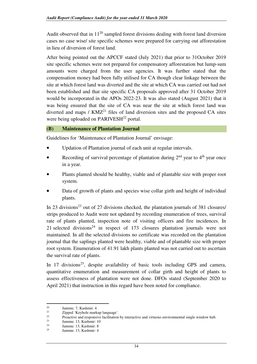Audit observed that in  $11^{20}$  sampled forest divisions dealing with forest land diversion cases no case wise/ site specific schemes were prepared for carrying out afforestation in lieu of diversion of forest land.

After being pointed out the APCCF stated (July 2021) that prior to 31October 2019 site specific schemes were not prepared for compensatory afforestation but lump-sum amounts were charged from the user agencies. It was further stated that the compensation money had been fully utilised for CA though clear linkage between the site at which forest land was diverted and the site at which CA was carried out had not been established and that site specific CA proposals approved after 31 October 2019 would be incorporated in the APOs 2022-23. It was also stated (August 2021) that it was being ensured that the site of CA was near the site at which forest land was diverted and maps /  $KMZ<sup>21</sup>$  files of land diversion sites and the proposed CA sites were being uploaded on PARIVESH<sup>22</sup> portal.

#### **(B) Maintenance of Plantation Journal**

Guidelines for 'Maintenance of Plantation Journal' envisage:

- Updation of Plantation journal of each unit at regular intervals.
- Recording of survival percentage of plantation during  $2<sup>nd</sup>$  year to  $4<sup>th</sup>$  year once in a year.
- Plants planted should be healthy, viable and of plantable size with proper root system.
- Data of growth of plants and species wise collar girth and height of individual plants.

In 23 divisions<sup>23</sup> out of 27 divisions checked, the plantation journals of 381 closures/ strips produced to Audit were not updated by recording enumeration of trees, survival rate of plants planted, inspection note of visiting officers and fire incidences. In 21 selected divisions<sup>24</sup> in respect of 173 closures plantation journals were not maintained. In all the selected divisions no certificate was recorded on the plantation journal that the saplings planted were healthy, viable and of plantable size with proper root system. Enumeration of 41.91 lakh plants planted was not carried out to ascertain the survival rate of plants.

In 17 divisions<sup>25</sup>, despite availability of basic tools including GPS and camera, quantitative enumeration and measurement of collar girth and height of plants to assess effectiveness of plantation were not done. DFOs stated (September 2020 to April 2021) that instruction in this regard have been noted for compliance.

<sup>&</sup>lt;sup>20</sup> Jammu: 7, Kashmir: 4<br><sup>21</sup> Zinned *Y*aybele mark

<sup>&</sup>lt;sup>21</sup>  $\frac{21}{22}$   $\frac{22}{2}$   $\frac{23}{2}$   $\frac{24}{2}$   $\frac{25}{2}$   $\frac{26}{2}$   $\frac{27}{2}$   $\frac{28}{2}$   $\frac{29}{2}$   $\frac{29}{2}$   $\frac{29}{2}$   $\frac{20}{2}$   $\frac{20}{2}$   $\frac{20}{2}$   $\frac{20}{2}$   $\frac{20}{2}$   $\frac{20}{2}$   $\frac{20}{2}$   $\frac{20}{2}$   $\frac{20$ 

 $22$  Proactive and responsive facilitation by interactive and virtuous environmental single window hub.

 $\frac{23}{24}$  Jammu: 13, Kashmir: 10

<sup>&</sup>lt;sup>24</sup> Jammu: 13, Kashmir: 8<br><sup>25</sup> Jammu: 12, Kashmir: 4

Jammu: 13, Kashmir: 4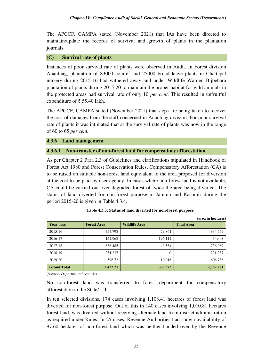The APCCF, CAMPA stated (November 2021) that IAs have been directed to maintain/update the records of survival and growth of plants in the plantation journals.

#### **(C) Survival rate of plants**

Instances of poor survival rate of plants were observed in Audit. In Forest division Anantnag, plantation of 83000 conifer and 25000 broad leave plants in Chattapal nursery during 2015-16 had withered away and under Wildlife Warden Bijbehara plantation of plants during 2015-20 to maintain the proper habitat for wild animals in the protected areas had survival rate of only 10 *per cent.* This resulted in unfruitful expenditure of  $\bar{\bar{\xi}}$  55.40 lakh.

The APCCF, CAMPA stated (November 2021) that steps are being taken to recover the cost of damages from the staff concerned in Anantnag division. For poor survival rate of plants it was intimated that at the survival rate of plants was now in the range of 60 to 65 *per cent.*

**4.3.6 Land management** 

#### **4.3.6.1 Non-transfer of non-forest land for compensatory afforestation**

As per Chapter 2 Para 2.3 of Guidelines and clarifications stipulated in Handbook of Forest Act 1980 and Forest Conservation Rules, Compensatory Afforestation (CA) is to be raised on suitable non-forest land equivalent to the area proposed for diversion at the cost to be paid by user agency. In cases where non-forest land is not available, CA could be carried out over degraded forest of twice the area being diverted. The status of land diverted for non-forest purpose in Jammu and Kashmir during the period 2015-20 is given in Table 4.3.4.

|                    |                    |                      | (area in hectares) |
|--------------------|--------------------|----------------------|--------------------|
| <b>Year wise</b>   | <b>Forest Area</b> | <b>Wildlife Area</b> | <b>Total Area</b>  |
| 2015-16            | 754.798            | 79.861               | 834.659            |
| 2016-17            | 152.968            | 196.112              | 349.08             |
| 2017-18            | 686.485            | 49.584               | 736.069            |
| 2018-19            | 231.237            | 0                    | 231.237            |
| 2019-20            | 596.72             | 10.016               | 606.736            |
| <b>Grand Total</b> | 2,422.21           | 335.573              | 2,757.781          |

|  |  |  | Table 4.3.3: Status of land diverted for non-forest purpose |
|--|--|--|-------------------------------------------------------------|
|--|--|--|-------------------------------------------------------------|

(*Source- Departmental records)* 

No non-forest land was transferred to forest department for compensatory afforestation in the State/ UT.

In ten selected divisions, 174 cases involving 1,108.41 hectares of forest land was diverted for non-forest purpose. Out of this in 140 cases involving 1,010.81 hectares forest land, was diverted without receiving alternate land from district administration as required under Rules. In 25 cases, Revenue Authorities had shown availability of 97.60 hectares of non-forest land which was neither handed over by the Revenue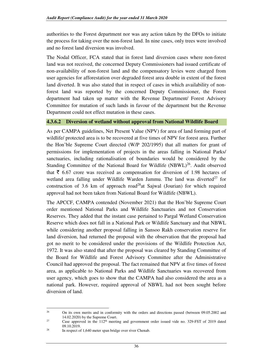authorities to the Forest department nor was any action taken by the DFOs to initiate the process for taking over the non-forest land. In nine cases, only trees were involved and no forest land diversion was involved.

The Nodal Officer, FCA stated that in forest land diversion cases where non-forest land was not received, the concerned Deputy Commissioners had issued certificate of non-availability of non-forest land and the compensatory levies were charged from user agencies for afforestation over degraded forest area double in extent of the forest land diverted. It was also stated that in respect of cases in which availability of nonforest land was reported by the concerned Deputy Commissioner, the Forest department had taken up matter with the Revenue Department/ Forest Advisory Committee for mutation of such lands in favour of the department but the Revenue Department could not effect mutation in these cases.

#### **4.3.6.2 Diversion of wetland without approval from National Wildlife Board**

As per CAMPA guidelines, Net Present Value (NPV) for area of land forming part of wildlife/ protected area is to be recovered at five times of NPV for forest area. Further the Hon'ble Supreme Court directed (W/P 202/1995) that all matters for grant of permissions for implementation of projects in the areas falling in National Parks/ sanctuaries, including rationalisation of boundaries would be considered by the Standing Committee of the National Board for Wildlife  $(NBWL)^{26}$ . Audit observed that  $\bar{\tau}$  6.67 crore was received as compensation for diversion of 1.98 hectares of wetland area falling under Wildlife Warden Jammu. The land was diverted<sup>27</sup> for construction of 3.6 km of approach road<sup>28</sup>at Sajwal (Jourian) for which required approval had not been taken from National Board for Wildlife (NBWL).

The APCCF, CAMPA contended (November 2021) that the Hon'ble Supreme Court order mentioned National Parks and Wildlife Sanctuaries and not Conservation Reserves. They added that the instant case pertained to Pargal Wetland Conservation Reserve which does not fall in a National Park or Wildlife Sanctuary and that NBWL while considering another proposal falling in Sansoo Rakh conservation reserve for land diversion, had returned the proposal with the observation that the proposal had got no merit to be considered under the provisions of the Wildlife Protection Act, 1972. It was also stated that after the proposal was cleared by Standing Committee of the Board for Wildlife and Forest Advisory Committee after the Administrative Council had approved the proposal. The fact remained that NPV at five times of forest area, as applicable to National Parks and Wildlife Sanctuaries was recovered from user agency, which goes to show that the CAMPA had also considered the area as a national park. However, required approval of NBWL had not been sought before diversion of land.

<sup>&</sup>lt;sup>26</sup> On its own merits and in conformity with the orders and directions passed (between 09.05.2002 and  $14.02.2020$  by the Supreme Court.

Case approved in the  $112<sup>th</sup>$  meeting and government order issued vide no. 329-FST of 2019 dated  $09.10.2019.$ 

In respect of 1,640 meter span bridge over river Chenab.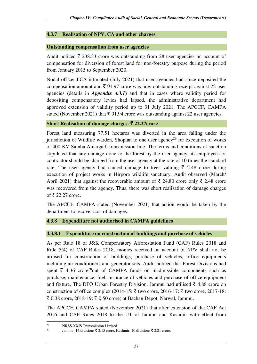## **4.3.7 Realisation of NPV, CA and other charges**

## **Outstanding compensation from user agencies**

Audit noticed  $\bar{\xi}$  238.33 crore was outstanding from 28 user agencies on account of compensation for diversion of forest land for non-forestry purpose during the period from January 2015 to September 2020.

Nodal officer FCA intimated (July 2021) that user agencies had since deposited the compensation amount and  $\bar{\xi}$  91.97 crore was now outstanding receipt against 22 user agencies (details in *Appendix 4.3.1*) and that in cases where validity period for depositing compensatory levies had lapsed, the administrative department had approved extension of validity period up to 31 July 2021. The APCCF, CAMPA stated (November 2021) that  $\bar{\xi}$  91.94 crore was outstanding against 22 user agencies.

## **Short Realisation of damage charges-** ` **22.27crore**

Forest land measuring 77.51 hectares was diverted in the area falling under the jurisdiction of Wildlife warden, Shopian to one user agency<sup>29</sup> for execution of works of 400 KV Samba Amargarh transmission line. The terms and conditions of sanction stipulated that any damage done to the forest by the user agency, its employees or contractor should be charged from the user agency at the rate of 10 times the standard rate. The user agency had caused damage to trees valuing  $\bar{\xi}$  2.48 crore during execution of project works in Hirpora wildlife sanctuary. Audit observed (March/ April 2021) that against the recoverable amount of  $\bar{\xi}$  24.80 crore only  $\bar{\xi}$  2.48 crore was recovered from the agency. Thus, there was short realisation of damage charges of  $\bar{\tau}$  22.27 crore.

The APCCF, CAMPA stated (November 2021) that action would be taken by the department to recover cost of damages.

# **4.3.8 Expenditure not authorised in CAMPA guidelines**

## **4.3.8.1 Expenditure on construction of buildings and purchase of vehicles**

As per Rule 18 of J&K Compensatory Afforestation Fund (CAF) Rules 2018 and Rule 5(4) of CAF Rules 2018, monies received on account of NPV shall not be utilised for construction of buildings, purchase of vehicles, office equipments including air conditioners and generator sets. Audit noticed that Forest Divisions had spent  $\bar{\tau}$  4.36 crore<sup>30</sup>out of CAMPA funds on inadmissible components such as purchase, maintenance, fuel, insurance of vehicles and purchase of office equipment and fixture. The DFO Urban Forestry Division, Jammu had utilised  $\bar{\tau}$  4.88 crore on construction of office complex (2014-15:  $\bar{\tau}$  two crore, 2016-17:  $\bar{\tau}$  two crore, 2017-18:  $\bar{\xi}$  0.38 crore, 2018-19:  $\bar{\xi}$  0.50 crore) at Bachan Depot, Narwal, Jammu.

The APCCF, CAMPA stated (November 2021) that after extension of the CAF Act 2016 and CAF Rules 2018 to the UT of Jammu and Kashmir with effect from

<sup>&</sup>lt;sup>29</sup> NRSS XXIS Transmission Limited.<br><sup>30</sup> Immuu 14 divisions  $\overline{2}$  2.15 arous K

Jammu: 14 divisions  $\bar{\mathfrak{g}}$  2.15 crore, Kashmir: 10 divisions  $\bar{\mathfrak{g}}$  2.21 crore.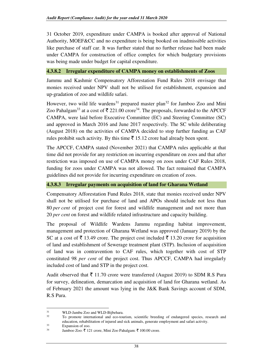31 October 2019, expenditure under CAMPA is booked after approval of National Authority, MOEF&CC and no expenditure is being booked on inadmissible activities like purchase of staff car. It was further stated that no further release had been made under CAMPA for construction of office complex for which budgetary provisions was being made under budget for capital expenditure.

## **4.3.8.2 Irregular expenditure of CAMPA money on establishments of Zoos**

Jammu and Kashmir Compensatory Afforestation Fund Rules 2018 envisage that monies received under NPV shall not be utilised for establishment, expansion and up-gradation of zoo and wildlife safari.

However, two wild life wardens<sup>31</sup> prepared master plan<sup>32</sup> for Jamboo Zoo and Mini Zoo Pahalgam<sup>33</sup> at a cost of  $\bar{\tau}$  221.00 crore<sup>34</sup>. The proposals, forwarded to the APCCF CAMPA, were laid before Executive Committee (EC) and Steering Committee (SC) and approved in March 2016 and June 2017 respectively. The SC while deliberating (August 2018) on the activities of CAMPA decided to stop further funding as CAF rules prohibit such activity. By this time  $\bar{\tau}$  15.12 crore had already been spent.

The APCCF, CAMPA stated (November 2021) that CAMPA rules applicable at that time did not provide for any restriction on incurring expenditure on zoos and that after restriction was imposed on use of CAMPA money on zoos under CAF Rules 2018, funding for zoos under CAMPA was not allowed. The fact remained that CAMPA guidelines did not provide for incurring expenditure on creation of zoos.

## **4.3.8.3 Irregular payments on acquisition of land for Gharana Wetland**

Compensatory Afforestation Fund Rules 2018, state that monies received under NPV shall not be utilised for purchase of land and APOs should include not less than 80 *per cent* of project cost for forest and wildlife management and not more than 20 *per cent* on forest and wildlife related infrastructure and capacity building.

The proposal of Wildlife Wardens Jammu regarding habitat improvement, management and protection of Gharana Wetland was approved (January 2019) by the SC at a cost of  $\bar{\tau}$  13.49 crore. The project cost included  $\bar{\tau}$  13.20 crore for acquisition of land and establishment of Sewerage treatment plant (STP). Inclusion of acquisition of land was in contravention to CAF rules, which together with cost of STP constituted 98 *per cent* of the project cost. Thus APCCF, CAMPA had irregularly included cost of land and STP in the project cost.

Audit observed that  $\bar{\tau}$  11.70 crore were transferred (August 2019) to SDM R.S Pura for survey, delineation, demarcation and acquisition of land for Gharana wetland. As of February 2021 the amount was lying in the J&K Bank Savings account of SDM, R.S Pura.

<sup>&</sup>lt;sup>31</sup> WLD-Jambu Zoo and WLD-Bijbehara.

<sup>32</sup> To promote international and eco-tourism, scientific breeding of endangered species, research and education, rehabilitation of injured and sick animals, generate employment and safari activity.

 $\frac{33}{34}$  Expansion of zoo.

Jamboo Zoo: ₹ 121 crore, Mini Zoo Pahalgam: ₹ 100.00 crore.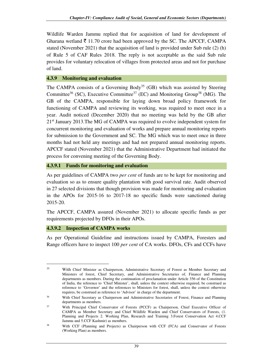Wildlife Warden Jammu replied that for acquisition of land for development of Gharana wetland  $\bar{\tau}$  11.70 crore had been approved by the SC. The APCCF, CAMPA stated (November 2021) that the acquisition of land is provided under Sub rule (2) (h) of Rule 5 of CAF Rules 2018. The reply is not acceptable as the said Sub rule provides for voluntary relocation of villages from protected areas and not for purchase of land.

#### **4.3.9 Monitoring and evaluation**

The CAMPA consists of a Governing Body<sup>35</sup> (GB) which was assisted by Steering Committee<sup>36</sup> (SC), Executive Committee<sup>37</sup> (EC) and Monitoring Group<sup>38</sup> (MG). The GB of the CAMPA, responsible for laying down broad policy framework for functioning of CAMPA and reviewing its working, was required to meet once in a year. Audit noticed (December 2020) that no meeting was held by the GB after 21st January 2013.The MG of CAMPA was required to evolve independent system for concurrent monitoring and evaluation of works and prepare annual monitoring reports for submission to the Government and SC. The MG which was to meet once in three months had not held any meetings and had not prepared annual monitoring reports. APCCF stated (November 2021) that the Administrative Department had initiated the process for convening meeting of the Governing Body.

#### **4.3.9.1 Funds for monitoring and evaluation**

As per guidelines of CAMPA two *per cent* of funds are to be kept for monitoring and evaluation so as to ensure quality plantation with good survival rate. Audit observed in 27 selected divisions that though provision was made for monitoring and evaluation in the APOs for 2015-16 to 2017-18 no specific funds were sanctioned during 2015-20.

The APCCF, CAMPA assured (November 2021) to allocate specific funds as per requirements projected by DFOs in their APOs.

## **4.3.9.2 Inspection of CAMPA works**

l

As per Operational Guideline and instructions issued by CAMPA, Foresters and Range officers have to inspect 100 *per cent* of CA works. DFOs, CFs and CCFs have

<sup>35</sup> With Chief Minister as Chairperson, Administrative Secretary of Forest as Member Secretary and Ministers of forest, Chief Secretary, and Administrative Secretaries of, Finance and Planning departments as members. During the continuation of proclamation under Article 356 of the Constitution of India, the reference to 'Chief Minister', shall, unless the context otherwise required, be construed as reference to 'Governor' and the references to Ministers for forest, shall, unless the context otherwise requires, be construed as reference to 'Advisor' in charge of the department.

<sup>36</sup> With Chief Secretary as Chairperson and Administrative Secretaries of Forest, Finance and Planning departments as members.

<sup>37</sup> With Principal Chief Conservator of Forests (PCCF) as Chairperson, Chief Executive Officer of CAMPA as Member Secretary and Chief Wildlife Warden and Chief Conservators of Forests, (1. Planning and Projects 2. Working Plan, Research and Training 3.Forest Conservation Act 4.CCF Jammu and 5.CCF Kashmir) as members.

<sup>38</sup> With CCF (Planning and Projects) as Chairperson with CCF (FCA) and Conservator of Forests (Working Plan) as members.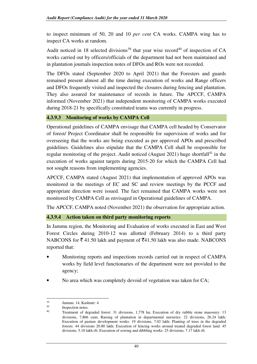to inspect minimum of 50, 20 and 10 *per cent* CA works. CAMPA wing has to inspect CA works at random.

Audit noticed in 18 selected divisions<sup>39</sup> that year wise record<sup>40</sup> of inspection of CA works carried out by officers/officials of the department had not been maintained and in plantation journals inspection notes of DFOs and ROs were not recorded.

The DFOs stated (September 2020 to April 2021) that the Foresters and guards remained present almost all the time during execution of works and Range officers and DFOs frequently visited and inspected the closures during fencing and plantation. They also assured for maintenance of records in future. The APCCF, CAMPA informed (November 2021) that independent monitoring of CAMPA works executed during 2018-21 by specifically constituted teams was currently in progress.

## **4.3.9.3 Monitoring of works by CAMPA Cell**

Operational guidelines of CAMPA envisage that CAMPA cell headed by Conservator of forest/ Project Coordinator shall be responsible for supervision of works and for overseeing that the works are being executed as per approved APOs and prescribed guidelines. Guidelines also stipulate that the CAMPA Cell shall be responsible for regular monitoring of the project. Audit noticed (August 2021) huge shortfall<sup>41</sup> in the execution of works against targets during 2015-20 for which the CAMPA Cell had not sought reasons from implementing agencies.

APCCF, CAMPA stated (August 2021) that implementation of approved APOs was monitored in the meetings of EC and SC and review meetings by the PCCF and appropriate direction were issued. The fact remained that CAMPA works were not monitored by CAMPA Cell as envisaged in Operational guidelines of CAMPA.

The APCCF, CAMPA noted (November 2021) the observation for appropriate action.

## **4.3.9.4 Action taken on third party monitoring reports**

In Jammu region, the Monitoring and Evaluation of works executed in East and West Forest Circles during 2010-12 was allotted (February 2014) to a third party NABCONS for  $\bar{\xi}$  41.50 lakh and payment of  $\bar{\xi}$ 41.50 lakh was also made. NABCONS reported that:

- Monitoring reports and inspections records carried out in respect of CAMPA works by field level functionaries of the department were not provided to the agency;
- No area which was completely devoid of vegetation was taken for CA;

<sup>39</sup> Jammu: 14, Kashmir: 4

<sup>40</sup> Inspection notes.

<sup>41</sup> Treatment of degraded forest: 31 divisions, 1,778 ha; Execution of dry rubble stone masosnry: 13 divisions, 7,866 cum; Raising of plantation in departmental nurseries: 22 divisions, 26.24 lakh; Execution of pasture development works: 19 divisions, 7.02 lakh; Planting of trees in the degraded forests: 44 divisions 20.80 lakh; Execution of fencing works around treated degraded forest land: 45 divisions, 5.10 lakh rft; Execution of sowing and dibbling works: 25 divisions, 7.17 lakh rft.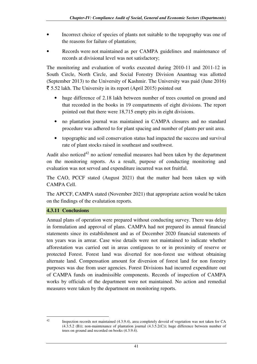- Incorrect choice of species of plants not suitable to the topography was one of the reasons for failure of plantation;
- Records were not maintained as per CAMPA guidelines and maintenance of records at divisional level was not satisfactory;

The monitoring and evaluation of works executed during 2010-11 and 2011-12 in South Circle, North Circle, and Social Forestry Division Anantnag was allotted (September 2013) to the University of Kashmir. The University was paid (June 2016)  $\bar{\tau}$  5.52 lakh. The University in its report (April 2015) pointed out

- huge difference of 2.18 lakh between number of trees counted on ground and that recorded in the books in 19 compartments of eight divisions. The report pointed out that there were 18,715 empty pits in eight divisions.
- no plantation journal was maintained in CAMPA closures and no standard procedure was adhered to for plant spacing and number of plants per unit area.
- topographic and soil conservation status had impacted the success and survival rate of plant stocks raised in southeast and southwest.

Audit also noticed<sup>42</sup> no action/ remedial measures had been taken by the department on the monitoring reports. As a result, purpose of conducting monitoring and evaluation was not served and expenditure incurred was not fruitful.

The CAO, PCCF stated (August 2021) that the matter had been taken up with CAMPA Cell.

The APCCF, CAMPA stated (November 2021) that appropriate action would be taken on the findings of the evalutation reports.

## **4.3.11 Conclusions**

Annual plans of operation were prepared without conducting survey. There was delay in formulation and approval of plans. CAMPA had not prepared its annual financial statements since its establishment and as of December 2020 financial statements of ten years was in arrear. Case wise details were not maintained to indicate whether afforestation was carried out in areas contiguous to or in proximity of reserve or protected Forest. Forest land was diverted for non-forest use without obtaining alternate land. Compensation amount for diversion of forest land for non forestry purposes was due from user agencies. Forest Divisions had incurred expenditure out of CAMPA funds on inadmissible components. Records of inspection of CAMPA works by officials of the department were not maintained. No action and remedial measures were taken by the department on monitoring reports.

l

<sup>42</sup> Inspection records not maintained (4.3.9.4), area completely devoid of vegetation was not taken for CA (4.3.5.2 (B)); non-maintenance of plantation journal (4.3.5.2(C)); huge difference between number of trees on ground and recorded on books (4.3.9.4).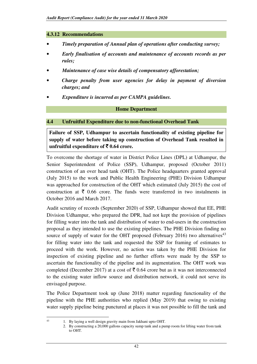#### **4.3.12 Recommendations**

- *Timely preparation of Annual plan of operations after conducting survey;*
- *Early finalisation of accounts and maintenance of accounts records as per rules;*
- *Maintenance of case wise details of compensatory afforestation;*
- *Charge penalty from user agencies for delay in payment of diversion charges; and*
- *Expenditure is incurred as per CAMPA guidelines.*

#### **Home Department**

#### **4.4 Unfruitful Expenditure due to non-functional Overhead Tank**

**Failure of SSP, Udhampur to ascertain functionality of existing pipeline for supply of water before taking up construction of Overhead Tank resulted in unfruitful expenditure of** ` **0.64 crore.** 

To overcome the shortage of water in District Police Lines (DPL) at Udhampur, the Senior Superintendent of Police (SSP), Udhampur, proposed (October 2011) construction of an over head tank (OHT). The Police headquarters granted approval (July 2015) to the work and Public Health Engineering (PHE) Division Udhampur was approached for construction of the OHT which estimated (July 2015) the cost of construction at  $\bar{\tau}$  0.66 crore. The funds were transferred in two instalments in October 2016 and March 2017.

Audit scrutiny of records (September 2020) of SSP, Udhampur showed that EE, PHE Division Udhampur, who prepared the DPR, had not kept the provision of pipelines for filling water into the tank and distribution of water to end-users in the construction proposal as they intended to use the existing pipelines. The PHE Division finding no source of supply of water for the OHT proposed (February 2016) two alternatives<sup>43</sup> for filling water into the tank and requested the SSP for framing of estimates to proceed with the work. However, no action was taken by the PHE Division for inspection of existing pipeline and no further efforts were made by the SSP to ascertain the functionality of the pipeline and its augmentation. The OHT work was completed (December 2017) at a cost of  $\bar{\tau}$  0.64 crore but as it was not interconnected to the existing water inflow source and distribution network, it could not serve its envisaged purpose.

The Police Department took up (June 2018) matter regarding functionality of the pipeline with the PHE authorities who replied (May 2019) that owing to existing water supply pipeline being punctured at places it was not possible to fill the tank and

<sup>43</sup> 1. By laying a well design gravity main from Jakhani upto OHT.

 <sup>2.</sup> By constructing a 20,000 gallons capacity sump tank and a pump room for lifting water from tank to OHT.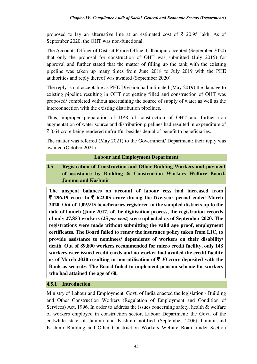proposed to lay an alternative line at an estimated cost of  $\bar{\tau}$  20.95 lakh. As of September 2020, the OHT was non-functional.

The Accounts Officer of District Police Office, Udhampur accepted (September 2020) that only the proposal for construction of OHT was submitted (July 2015) for approval and further stated that the matter of filling up the tank with the existing pipeline was taken up many times from June 2018 to July 2019 with the PHE authorities and reply thereof was awaited (September 2020).

The reply is not acceptable as PHE Division had intimated (May 2019) the damage to existing pipeline resulting in OHT not getting filled and construction of OHT was proposed/ completed without ascertaining the source of supply of water as well as the interconnection with the existing distribution pipelines.

Thus, improper preparation of DPR of construction of OHT and further non augmentation of water source and distribution pipelines had resulted in expenditure of  $\bar{\tau}$  0.64 crore being rendered unfruitful besides denial of benefit to beneficiaries.

The matter was referred (May 2021) to the Government/ Department: their reply was awaited (October 2021).

#### **Labour and Employment Department**

**4.5 Registration of Construction and Other Building Workers and payment of assistance by Building & Construction Workers Welfare Board, Jammu and Kashmir** 

**The unspent balances on account of labour cess had increased from**   $\bar{\xi}$  296.19 crore to  $\bar{\xi}$  622.05 crore during the five-year period ended March **2020. Out of 1,09,915 beneficiaries registered in the sampled districts up to the date of launch (June 2017) of the digitisation process, the registration records of only 27,853 workers (25** *per cent***) were uploaded as of September 2020. The registrations were made without submitting the valid age proof, employment certificates. The Board failed to renew the insurance policy taken from LIC, to provide assistance to nominees/ dependents of workers on their disability/ death. Out of 89,800 workers recommended for micro credit facility, only 148 workers were issued credit cards and no worker had availed the credit facility**  as of March 2020 resulting in non-utilisation of  $\bar{\tau}$  30 crore deposited with the **Bank as security. The Board failed to implement pension scheme for workers who had attained the age of 60.** 

## **4.5.1 Introduction**

Ministry of Labour and Employment, Govt. of India enacted the legislation - Building and Other Construction Workers (Regulation of Employment and Condition of Services) Act, 1996. In order to address the issues concerning safety, health & welfare of workers employed in construction sector, Labour Department; the Govt. of the erstwhile state of Jammu and Kashmir notified (September 2006) Jammu and Kashmir Building and Other Construction Workers Welfare Board under Section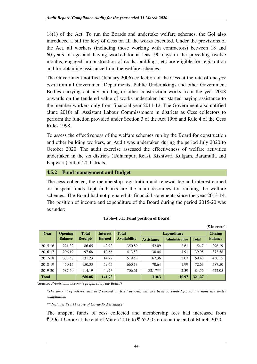18(1) of the Act. To run the Boards and undertake welfare schemes, the GoI also introduced a bill for levy of Cess on all the works executed. Under the provisions of the Act, all workers (including those working with contractors) between 18 and 60 years of age and having worked for at least 90 days in the preceding twelve months, engaged in construction of roads, buildings, etc are eligible for registration and for obtaining assistance from the welfare schemes.

The Government notified (January 2006) collection of the Cess at the rate of one *per cent* from all Government Departments, Public Undertakings and other Government Bodies carrying out any building or other construction works from the year 2008 onwards on the tendered value of works undertaken but started paying assistance to the member workers only from financial year 2011-12. The Government also notified (June 2010) all Assistant Labour Commissioners in districts as Cess collectors to perform the function provided under Section 3 of the Act 1996 and Rule 4 of the Cess Rules 1998.

To assess the effectiveness of the welfare schemes run by the Board for construction and other building workers, an Audit was undertaken during the period July 2020 to October 2020. The audit exercise assessed the effectiveness of welfare activities undertaken in the six districts (Udhampur, Reasi, Kishtwar, Kulgam, Baramulla and Kupwara) out of 20 districts.

#### **4.5.2 Fund management and Budget**

The cess collected, the membership registration and renewal fee and interest earned on unspent funds kept in banks are the main resources for running the welfare schemes. The Board had not prepared its financial statements since the year 2013-14. The position of income and expenditure of the Board during the period 2015-20 was as under:

|         |                |                 |                 |                     |                   |                       |              | $(\bar{\bar{\mathbf{x}}}$ in crore) |
|---------|----------------|-----------------|-----------------|---------------------|-------------------|-----------------------|--------------|-------------------------------------|
| Year    | <b>Opening</b> | <b>Total</b>    | <b>Interest</b> | <b>Total</b>        |                   | <b>Expenditure</b>    |              | <b>Closing</b>                      |
|         | <b>Balance</b> | <b>Receipts</b> | <b>Earned</b>   | <b>Availability</b> | <b>Assistance</b> | <b>Administrative</b> | <b>Total</b> | <b>Balance</b>                      |
| 2015-16 | 221.32         | 86.65           | 42.92           | 350.89              | 52.09             | 2.61                  | 54.7         | 296.19                              |
| 2016-17 | 296.19         | 97.68           | 19.66           | 413.53              | 38.04             | 1.91                  | 39.95        | 373.58                              |
| 2017-18 | 373.58         | 131.23          | 14.77           | 519.58              | 67.36             | 2.07                  | 69.43        | 450.15                              |
| 2018-19 | 450.15         | 150.33          | 59.65           | 660.13              | 70.64             | 1.99                  | 72.63        | 587.50                              |
| 2019-20 | 587.50         | 114.19          | $4.92*$         | 706.61              | $82.17**$         | 2.39                  | 84.56        | 622.05                              |
| Total   |                | 580.08          | 141.92          |                     | 310.3             | 10.97                 | 321.27       |                                     |

#### **Table-4.5.1: Fund position of Board**

*(Source: Provisional accounts prepared by the Board)* 

*\*The amount of interest accrued/ earned on fixed deposits has not been accounted for as the same are under compilation.* 

#### *\*\* Includes* `*13.11 crore of Covid-19 Assistance*

The unspent funds of cess collected and membership fees had increased from  $\bar{\xi}$  296.19 crore at the end of March 2016 to  $\bar{\xi}$  622.05 crore at the end of March 2020.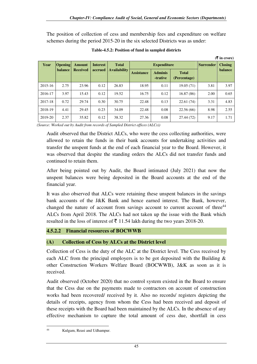The position of collection of cess and membership fees and expenditure on welfare schemes during the period 2015-20 in the six selected Districts was as under:

| $($ ₹ in crore) |                |                 |                 |                     |                   |                            |                              |                  |                |  |  |
|-----------------|----------------|-----------------|-----------------|---------------------|-------------------|----------------------------|------------------------------|------------------|----------------|--|--|
| Year            | <b>Opening</b> | Amount          | <b>Interest</b> | <b>Total</b>        |                   | <b>Expenditure</b>         |                              | <b>Surrender</b> | <b>Closing</b> |  |  |
|                 | <b>balance</b> | <b>Received</b> | accrued         | <b>Availability</b> | <b>Assistance</b> | <b>Adminis</b><br>-trative | <b>Total</b><br>(Percentage) |                  | balance        |  |  |
| 2015-16         | 2.75           | 23.96           | 0.12            | 26.83               | 18.95             | 0.11                       | 19.05(71)                    | 3.81             | 3.97           |  |  |
| 2016-17         | 3.97           | 15.43           | 0.12            | 19.52               | 16.75             | 0.12                       | 16.87(86)                    | 2.00             | 0.65           |  |  |
| 2017-18         | 0.72           | 29.74           | 0.30            | 30.75               | 22.48             | 0.13                       | 22.61(74)                    | 3.31             | 4.83           |  |  |
| 2018-19         | 4.41           | 29.45           | 0.23            | 34.09               | 22.48             | 0.08                       | 22.56(66)                    | 8.98             | 2.55           |  |  |
| 2019-20         | 2.37           | 35.82           | 0.12            | 38.32               | 27.36             | 0.08                       | 27.44 (72)                   | 9.17             | 1.71           |  |  |

**Table-4.5.2: Position of fund in sampled districts** 

*(Source: Worked out by Audit from records of Sampled District offices (ALCs))* 

Audit observed that the District ALCs, who were the cess collecting authorities, were allowed to retain the funds in their bank accounts for undertaking activities and transfer the unspent funds at the end of each financial year to the Board. However, it was observed that despite the standing orders the ALCs did not transfer funds and continued to retain them.

After being pointed out by Audit, the Board intimated (July 2021) that now the unspent balances were being deposited in the Board accounts at the end of the financial year.

It was also observed that ALCs were retaining these unspent balances in the savings bank accounts of the J&K Bank and hence earned interest. The Bank, however, changed the nature of account from savings account to current account of three<sup>44</sup> ALCs from April 2018. The ALCs had not taken up the issue with the Bank which resulted in the loss of interest of  $\bar{\tau}$  11.54 lakh during the two years 2018-20.

## **4.5.2.2 Financial resources of BOCWWB**

## **(A) Collection of Cess by ALCs at the District level**

Collection of Cess is the duty of the ALC at the District level. The Cess received by each ALC from the principal employers is to be got deposited with the Building  $\&$ other Construction Workers Welfare Board (BOCWWB), J&K as soon as it is received.

Audit observed (October 2020) that no control system existed in the Board to ensure that the Cess due on the payments made to contractors on account of construction works had been recovered/ received by it. Also no records/ registers depicting the details of receipts, agency from whom the Cess had been received and deposit of these receipts with the Board had been maintained by the ALCs. In the absence of any effective mechanism to capture the total amount of cess due, shortfall in cess

<sup>44</sup> Kulgam, Reasi and Udhampur.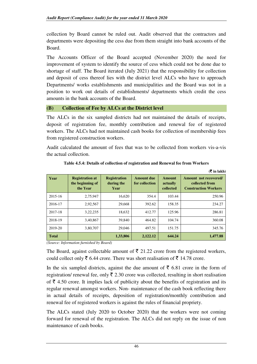collection by Board cannot be ruled out. Audit observed that the contractors and departments were depositing the cess due from them straight into bank accounts of the Board.

The Accounts Officer of the Board accepted (November 2020) the need for improvement of system to identify the source of cess which could not be done due to shortage of staff. The Board iterated (July 2021) that the responsibility for collection and deposit of cess thereof lies with the district level ALCs who have to approach Departments/ works establishments and municipalities and the Board was not in a position to work out details of establishments/ departments which credit the cess amounts in the bank accounts of the Board.

## **(B) Collection of Fee by ALCs at the District level**

The ALCs in the six sampled districts had not maintained the details of receipts, deposit of registration fee, monthly contribution and renewal fee of registered workers. The ALCs had not maintained cash books for collection of membership fees from registered construction workers.

Audit calculated the amount of fees that was to be collected from workers vis-a-vis the actual collection.

| <b>Year</b>  | <b>Registration at</b><br>the beginning of<br>the Year | <b>Registration</b><br>during the<br>Year | <b>Amount due</b><br>for collection | <b>Amount</b><br>actually<br>collected | Amount not recovered/<br>collected from<br><b>Construction Workers</b> |
|--------------|--------------------------------------------------------|-------------------------------------------|-------------------------------------|----------------------------------------|------------------------------------------------------------------------|
| 2015-16      | 2,75,947                                               | 16,620                                    | 354.4                               | 103.44                                 | 250.96                                                                 |
| 2016-17      | 2,92,567                                               | 29,668                                    | 392.62                              | 158.35                                 | 234.27                                                                 |
| 2017-18      | 3,22,235                                               | 18,632                                    | 412.77                              | 125.96                                 | 286.81                                                                 |
| 2018-19      | 3,40,867                                               | 39,840                                    | 464.82                              | 104.74                                 | 360.08                                                                 |
| 2019-20      | 3,80,707                                               | 29,046                                    | 497.51                              | 151.75                                 | 345.76                                                                 |
| <b>Total</b> |                                                        | 1,33,806                                  | 2,122.12                            | 644.24                                 | 1,477.88                                                               |

**Table 4.5.4: Details of collection of registration and Renewal fee from Workers** 

 $(\mathbf{F} : \mathbf{n} \text{ be the})$ 

*(Source: Information furnished by Board)* 

The Board, against collectable amount of  $\bar{\tau}$  21.22 crore from the registered workers, could collect only  $\bar{\xi}$  6.44 crore. There was short realisation of  $\bar{\xi}$  14.78 crore.

In the six sampled districts, against the due amount of  $\bar{\tau}$  6.81 crore in the form of registration/ renewal fee, only  $\bar{\tau}$  2.30 crore was collected, resulting in short realisation of  $\bar{\xi}$  4.50 crore. It implies lack of publicity about the benefits of registration and its regular renewal amongst workers. Non- maintenance of the cash book reflecting there in actual details of receipts, deposition of registration/monthly contribution and renewal fee of registered workers is against the rules of financial propriety.

The ALCs stated (July 2020 to October 2020) that the workers were not coming forward for renewal of the registration. The ALCs did not reply on the issue of non maintenance of cash books.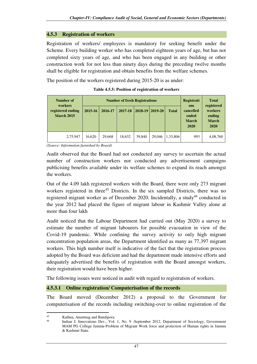#### **4.5.3 Registration of workers**

Registration of workers/ employees is mandatory for seeking benefit under the Scheme. Every building worker who has completed eighteen years of age, but has not completed sixty years of age, and who has been engaged in any building or other construction work for not less than ninety days during the preceding twelve months shall be eligible for registration and obtain benefits from the welfare schemes.

The position of the workers registered during 2015-20 is as under:

| Number of<br>workers                   |         | <b>Number of fresh Registrations</b> |         | <b>Registrati</b><br>ons | <b>Total</b><br>registered |              |                                            |                                           |  |
|----------------------------------------|---------|--------------------------------------|---------|--------------------------|----------------------------|--------------|--------------------------------------------|-------------------------------------------|--|
| registered ending<br><b>March 2015</b> | 2015-16 | 2016-17                              | 2017-18 | $ 2018-19 2019-20$       |                            | <b>Total</b> | cancelled<br>ended<br><b>March</b><br>2020 | workers<br>ending<br><b>March</b><br>2020 |  |
| 2,75,947                               | 16.620  | 29,668                               | 18,632  | 39,840                   | 29,046                     | 1,33,806     | 993                                        | 4,08,760                                  |  |

*(Source: Information furnished by Board)* 

Audit observed that the Board had not conducted any survey to ascertain the actual number of construction workers nor conducted any advertisement campaigns publicising benefits available under its welfare schemes to expand its reach amongst the workers.

Out of the 4.09 lakh registered workers with the Board, there were only 273 migrant workers registered in three<sup>45</sup> Districts. In the six sampled Districts, there was no registered migrant worker as of December 2020. Incidentally, a study<sup>46</sup> conducted in the year 2012 had placed the figure of migrant labour in Kashmir Valley alone at more than four lakh

Audit noticed that the Labour Department had carried out (May 2020) a survey to estimate the number of migrant labourers for possible evacuation in view of the Covid-19 pandemic. While confining the survey activity to only high migrant concentration population areas, the Department identified as many as 77,397 migrant workers. This high number itself is indicative of the fact that the registration process adopted by the Board was deficient and had the department made intensive efforts and adequately advertised the benefits of registration with the Board amongst workers, their registration would have been higher.

The following issues were noticed in audit with regard to registration of workers.

#### **4.5.3.1 Online registration/ Computerisation of the records**

The Board moved (December 2012) a proposal to the Government for computerisation of the records including switching-over to online registration of the

<sup>45</sup> Kathua, Anantnag and Bandipora.

<sup>46</sup> Indian J. Innovations Dev., Vol. 1, No. 9 -September 2012, Department of Sociology, Government MAM PG College Jammu-Problem of Migrant Work force and protection of Human rights in Jammu & Kashmir State.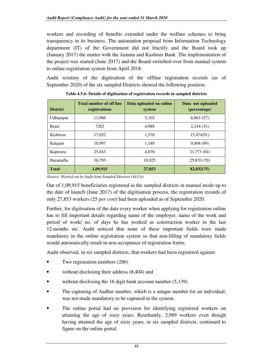workers and recording of benefits extended under the welfare schemes to bring transparency in its business. The automation proposal from Information Technology department (IT) of the Government did not fructify and the Board took up (January 2017) the matter with the Jammu and Kashmir Bank. The implementation of the project was started (June 2017) and the Board switched-over from manual system to online registration system from April 2018.

Audit scrutiny of the digitisation of the offline registration records (as of September 2020) of the six sampled Districts showed the following position:

| <b>District</b>  | <b>Total number of off line</b><br>registrations | Data uploaded on online<br>system | Data not uploaded<br>(percentage) |
|------------------|--------------------------------------------------|-----------------------------------|-----------------------------------|
| Udhampur         | 11,966                                           | 5,103                             | 6,863(57)                         |
| Reasi            | 7262                                             | 4.988                             | 2,244(31)                         |
| Kishtwar         | 17,052                                           | 1.578                             | 15,474(91)                        |
| Kulgam           | 10.997                                           | 1.189                             | 9,808 (89)                        |
| Kupwara          | 25,843                                           | 4.070                             | 21,773 (84)                       |
| <b>Baramulla</b> | 36,795                                           | 10.925                            | 25,870 (70)                       |
| <b>Total</b>     | 1,09,915                                         | 27,853                            | 82,032(75)                        |

**Table 4.5.6: Details of digitisation of registration records in sampled districts** 

*(Source: Worked out by Audit from Sampled Districts (ALCs))* 

Out of 1,09,915 beneficiaries registered in the sampled districts in manual mode up to the date of launch (June 2017) of the digitisation process, the registration records of only 27,853 workers (25 *per cent*) had been uploaded as of September 2020.

Further, for digitisation of the data every worker when applying for registration online has to fill important details regarding name of the employer, name of the work and period of work/ no. of days he has worked as construction worker in the last 12 months etc. Audit noticed that none of these important fields were made mandatory in the online registration system so that non-filling of mandatory fields would automatically result in non-acceptance of registration forms.

Audit observed, in six sampled districts, that workers had been registered against:

- Two registration numbers (286)
- without disclosing their address (8,404) and
- without disclosing the 16 digit bank account number  $(5,139)$
- The capturing of Aadhar number, which is a unique number for an individual, was not made mandatory to be captured in the system.
- The online portal had no provision for identifying registered workers on attaining the age of sixty years. Resultantly, 2,989 workers even though having attained the age of sixty years, in six sampled districts, continued to figure on the online portal.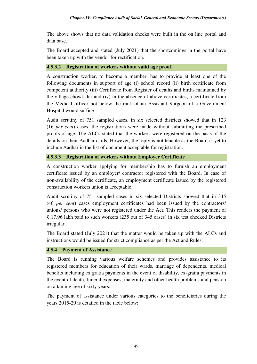The above shows that no data validation checks were built in the on line portal and data base.

The Board accepted and stated (July 2021) that the shortcomings in the portal have been taken up with the vendor for rectification.

#### **4.5.3.2 Registration of workers without valid age proof.**

A construction worker, to become a member, has to provide at least one of the following documents in support of age (i) school record (ii) birth certificate from competent authority (iii) Certificate from Register of deaths and births maintained by the village chowkidar and (iv) in the absence of above certificates, a certificate from the Medical officer not below the rank of an Assistant Surgeon of a Government Hospital would suffice.

Audit scrutiny of 751 sampled cases, in six selected districts showed that in 123 (16 *per cent*) cases, the registrations were made without submitting the prescribed proofs of age. The ALCs stated that the workers were registered on the basis of the details on their Aadhar cards. However, the reply is not tenable as the Board is yet to include Aadhar in the list of document acceptable for registration.

# **4.5.3.3 Registration of workers without Employer Certificate**

A construction worker applying for membership has to furnish an employment certificate issued by an employer/ contractor registered with the Board. In case of non-availability of the certificate, an employment certificate issued by the registered construction workers union is acceptable.

Audit scrutiny of 751 sampled cases in six selected Districts showed that in 345 (46 *per cent*) cases employment certificates had been issued by the contractors/ unions/ persons who were not registered under the Act. This renders the payment of  $\bar{\xi}$  17.96 lakh paid to such workers (235 out of 345 cases) in six test checked Districts irregular.

The Board stated (July 2021) that the matter would be taken up with the ALCs and instructions would be issued for strict compliance as per the Act and Rules.

## **4.5.4 Payment of Assistance**

The Board is running various welfare schemes and provides assistance to its registered members for education of their wards, marriage of dependents, medical benefits including ex gratia payments in the event of disability, ex-gratia payments in the event of death, funeral expenses, maternity and other health problems and pension on attaining age of sixty years.

The payment of assistance under various categories to the beneficiaries during the years 2015-20 is detailed in the table below: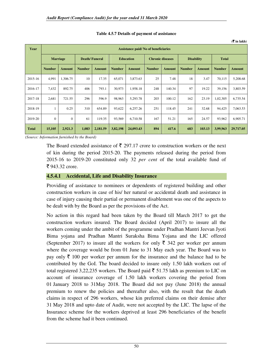| Year         |                 | <b>Assistance paid/No of beneficiaries</b> |                      |               |                  |               |                         |               |                   |               |               |               |
|--------------|-----------------|--------------------------------------------|----------------------|---------------|------------------|---------------|-------------------------|---------------|-------------------|---------------|---------------|---------------|
|              | <b>Marriage</b> |                                            | <b>Death/Funeral</b> |               | <b>Education</b> |               | <b>Chronic diseases</b> |               | <b>Disability</b> |               | <b>Total</b>  |               |
|              | <b>Number</b>   | <b>Amount</b>                              | <b>Number</b>        | <b>Amount</b> | <b>Number</b>    | <b>Amount</b> | <b>Number</b>           | <b>Amount</b> | <b>Number</b>     | <b>Amount</b> | <b>Number</b> | <b>Amount</b> |
| 2015-16      | 4,991           | 1,306.75                                   | 10                   | 17.35         | 65,071           | 3,873.63      | 25                      | 7.48          | 18                | 3.47          | 70,115        | 5,208.68      |
| 2016-17      | 7,432           | 892.75                                     | 406                  | 793.1         | 30,973           | 1,958.18      | 248                     | 140.34        | 97                | 19.22         | 39,156        | 3,803.59      |
| 2017-18      | 2,681           | 721.55                                     | 296                  | 596.9         | 98,963           | 5,293.78      | 203                     | 100.12        | 162               | 23.19         | 1,02,305      | 6,735.54      |
| 2018-19      |                 | 0.25                                       | 310                  | 654.89        | 93,622           | 6,257.26      | 251                     | 118.45        | 241               | 32.68         | 94,425        | 7,063.53      |
| 2019-20      | $\mathbf{0}$    | $\theta$                                   | 61                   | 119.35        | 93,569           | 6,710.58      | 167                     | 51.21         | 165               | 24.57         | 93,962        | 6,905.71      |
| <b>Total</b> | 15,105          | 2,921.3                                    | 1,083                | 2,181.59      | 3,82,198         | 24,093.43     | 894                     | 417.6         | 683               | 103.13        | 3,99,963      | 29,717.05     |

#### **Table 4.5.7 Details of payment of assistance**

 $(3)$  in lakh)

*(Source: Information furnished by the Board)* 

The Board extended assistance of  $\bar{\xi}$  297.17 crore to construction workers or the next of kin during the period 2015-20. The payments released during the period from 2015-16 to 2019-20 constituted only 32 *per cent* of the total available fund of  $\bar{z}$  943.32 crore.

#### **4.5.4.1 Accidental, Life and Disability Insurance**

Providing of assistance to nominees or dependents of registered building and other construction workers in case of his/ her natural or accidental death and assistance in case of injury causing their partial or permanent disablement was one of the aspects to be dealt with by the Board as per the provisions of the Act.

No action in this regard had been taken by the Board till March 2017 to get the construction workers insured. The Board decided (April 2017) to insure all the workers coming under the ambit of the programme under Pradhan Mantri Jeevan Jyoti Bima yojana and Pradhan Mantri Suraksha Bima Yojana and the LIC offered (September 2017) to insure all the workers for only  $\bar{\xi}$  342 per worker per annum where the coverage would be from 01 June to 31 May each year. The Board was to pay only  $\bar{\xi}$  100 per worker per annum for the insurance and the balance had to be contributed by the GoI. The board decided to insure only 1.50 lakh workers out of total registered 3,22,235 workers. The Board paid  $\bar{\tau}$  51.75 lakh as premium to LIC on account of insurance coverage of 1.50 lakh workers covering the period from 01 January 2018 to 31May 2018. The Board did not pay (June 2018) the annual premium to renew the policies and thereafter also, with the result that the death claims in respect of 296 workers, whose kin preferred claims on their demise after 31 May 2018 and upto date of Audit, were not accepted by the LIC. The lapse of the Insurance scheme for the workers deprived at least 296 beneficiaries of the benefit from the scheme had it been continued.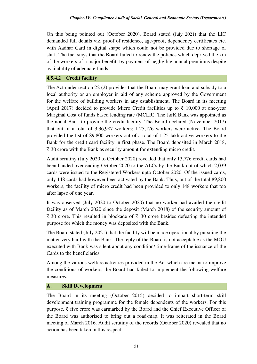On this being pointed out (October 2020), Board stated (July 2021) that the LIC demanded full details viz. proof of residence, age-proof, dependency certificates etc. with Aadhar Card in digital shape which could not be provided due to shortage of staff. The fact stays that the Board failed to renew the policies which deprived the kin of the workers of a major benefit, by payment of negligible annual premiums despite availability of adequate funds.

# **4.5.4.2 Credit facility**

The Act under section 22 (2) provides that the Board may grant loan and subsidy to a local authority or an employer in aid of any scheme approved by the Government for the welfare of building workers in any establishment. The Board in its meeting (April 2017) decided to provide Micro Credit facilities up to  $\bar{\tau}$  10,000 at one-year Marginal Cost of funds based lending rate (MCLR). The J&K Bank was appointed as the nodal Bank to provide the credit facility. The Board declared (November 2017) that out of a total of 3,36,987 workers; 1,25,176 workers were active. The Board provided the list of 89,800 workers out of a total of 1.25 lakh active workers to the Bank for the credit card facility in first phase. The Board deposited in March 2018,  $\bar{\tau}$  30 crore with the Bank as security amount for extending micro credit.

Audit scrutiny (July 2020 to October 2020) revealed that only 13,776 credit cards had been handed over ending October 2020 to the ALCs by the Bank out of which 2,039 cards were issued to the Registered Workers upto October 2020. Of the issued cards, only 148 cards had however been activated by the Bank. Thus, out of the total 89,800 workers, the facility of micro credit had been provided to only 148 workers that too after lapse of one year.

It was observed (July 2020 to October 2020) that no worker had availed the credit facility as of March 2020 since the deposit (March 2018) of the security amount of  $\bar{\xi}$  30 crore. This resulted in blockade of  $\bar{\xi}$  30 crore besides defeating the intended purpose for which the money was deposited with the Bank.

The Board stated (July 2021) that the facility will be made operational by pursuing the matter very hard with the Bank. The reply of the Board is not acceptable as the MOU executed with Bank was silent about any condition/ time-frame of the issuance of the Cards to the beneficiaries.

Among the various welfare activities provided in the Act which are meant to improve the conditions of workers, the Board had failed to implement the following welfare measures.

# **A. Skill Development**

The Board in its meeting (October 2015) decided to impart short-term skill development training programme for the female dependents of the workers. For this purpose,  $\bar{\tau}$  five crore was earmarked by the Board and the Chief Executive Officer of the Board was authorised to bring out a road-map. It was reiterated in the Board meeting of March 2016. Audit scrutiny of the records (October 2020) revealed that no action has been taken in this respect.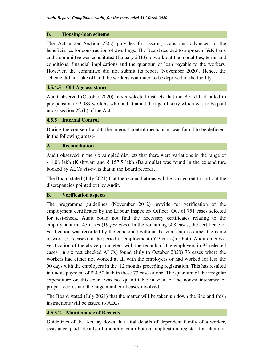#### **B. Housing-loan scheme**

The Act under Section 22(c) provides for issuing loans and advances to the beneficiaries for construction of dwellings. The Board decided to approach J&K bank and a committee was constituted (January 2013) to work out the modalities, terms and conditions, financial implications and the quantum of loan payable to the workers. However, the committee did not submit its report (November 2020). Hence, the scheme did not take off and the workers continued to be deprived of the facility.

#### **4.5.4.5 Old Age assistance**

Audit observed (October 2020) in six selected districts that the Board had failed to pay pension to 2,989 workers who had attained the age of sixty which was to be paid under section 22 (b) of the Act.

#### **4.5.5 Internal Control**

During the course of audit, the internal control mechanism was found to be deficient in the following areas:-

#### **A. Reconciliation**

Audit observed in the six sampled districts that there were variations in the range of  $\bar{\tau}$  1.08 lakh (Kishtwar) and  $\bar{\tau}$  157.5 lakh (Baramulla) was found in the expenditure booked by ALCs vis-à-vis that in the Board records.

The Board stated (July 2021) that the reconciliations will be carried out to sort out the discrepancies pointed out by Audit.

## **B. Verification aspects**

The programme guidelines (November 2012) provide for verification of the employment certificates by the Labour Inspector/ Officer. Out of 751 cases selected for test-check, Audit could not find the necessary certificates relating to the employment in 143 cases (19 *per cent*). In the remaining 608 cases, the certificate of verification was recorded by the concerned without the vital data i.e either the name of work (516 cases) or the period of employment (523 cases) or both. Audit on crossverification of the above parameters with the records of the employers in 93 selected cases (in six test checked ALCs) found (July to October 2020) 73 cases where the workers had either not worked at all with the employers or had worked for less the 90 days with the employers in the 12 months preceding registration. This has resulted in undue payment of  $\bar{\tau}$  4.50 lakh in these 73 cases alone. The quantum of the irregular expenditure on this count was not quantifiable in view of the non-maintenance of proper records and the huge number of cases involved.

The Board stated (July 2021) that the matter will be taken up down the line and fresh instructions will be issued to ALCs.

## **4.5.5.2 Maintenance of Records**

Guidelines of the Act lay down that vital details of dependent family of a worker, assistance paid, details of monthly contribution, application register for claim of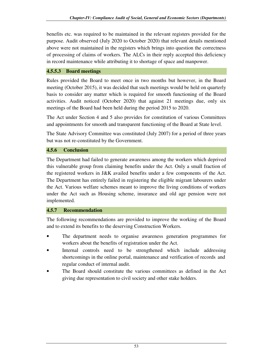benefits etc. was required to be maintained in the relevant registers provided for the purpose. Audit observed (July 2020 to October 2020) that relevant details mentioned above were not maintained in the registers which brings into question the correctness of processing of claims of workers. The ALCs in their reply accepted this deficiency in record maintenance while attributing it to shortage of space and manpower.

#### **4.5.5.3 Board meetings**

Rules provided the Board to meet once in two months but however, in the Board meeting (October 2015), it was decided that such meetings would be held on quarterly basis to consider any matter which is required for smooth functioning of the Board activities. Audit noticed (October 2020) that against 21 meetings due, only six meetings of the Board had been held during the period 2015 to 2020.

The Act under Section 4 and 5 also provides for constitution of various Committees and appointments for smooth and transparent functioning of the Board at State level.

The State Advisory Committee was constituted (July 2007) for a period of three years but was not re-constituted by the Government.

#### **4.5.6 Conclusion**

The Department had failed to generate awareness among the workers which deprived this vulnerable group from claiming benefits under the Act. Only a small fraction of the registered workers in J&K availed benefits under a few components of the Act. The Department has entirely failed in registering the eligible migrant labourers under the Act. Various welfare schemes meant to improve the living conditions of workers under the Act such as Housing scheme, insurance and old age pension were not implemented.

#### **4.5.7 Recommendation**

The following recommendations are provided to improve the working of the Board and to extend its benefits to the deserving Construction Workers.

- The department needs to organise awareness generation programmes for workers about the benefits of registration under the Act.
- Internal controls need to be strengthened which include addressing shortcomings in the online portal, maintenance and verification of records and regular conduct of internal audit.
- The Board should constitute the various committees as defined in the Act giving due representation to civil society and other stake holders.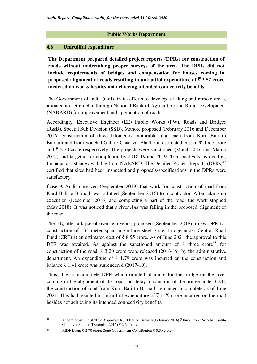#### **Public Works Department**

## **4.6 Unfruitful expenditure**

**The Department prepared detailed project reports (DPRs) for construction of roads without undertaking proper surveys of the area. The DPRs did not include requirements of bridges and compensation for houses coming in proposed alignment of roads resulting in unfruitful expenditure of**  $\bar{\tau}$  **2.57 crore incurred on works besides not achieving intended connectivity benefits.**

The Government of India (GoI), in its efforts to develop far flung and remote areas, initiated an action plan through National Bank of Agriculture and Rural Development (NABARD) for improvement and upgradation of roads.

Accordingly, Executive Engineer (EE) Public Works (PW), Roads and Bridges (R&B), Special Sub Division (SSD), Mahore proposed (February 2016 and December 2016) construction of three kilometers motorable road each from Kurd Bali to Barnaili and from Sonchal Gali to Chan via Bhallar at estimated cost of  $\bar{\tau}$  three crore and  $\bar{\tau}$  2.70 crore respectively. The projects were sanctioned (March 2016 and March 2017) and targeted for completion by 2018-19 and 2019-20 respectively by availing financial assistance available from NABARD. The Detailed Project Reports (DPRs)<sup>47</sup> certified that sites had been inspected and proposals/specifications in the DPRs were satisfactory.

**Case A** Audit observed (September 2019) that work for construction of road from Kurd Bali to Barnaili was allotted (September 2016) to a contractor. After taking up execution (December 2016) and completing a part of the road, the work stopped (May 2018). It was noticed that a river *Ans* was falling in the proposed alignment of the road.

The EE, after a lapse of over two years, proposed (September 2018) a new DPR for construction of 135 meter span single lane steel girder bridge under Central Road Fund (CRF) at an estimated cost of  $\bar{\bar{\xi}}$  8.55 crore. As of June 2021 the approval to this DPR was awaited. As against the sanctioned amount of  $\bar{\tau}$  three crore<sup>48</sup> for construction of the road,  $\bar{\xi}$  3.20 crore were released (2016-19) by the administrative department. An expenditure of  $\bar{\tau}$  1.79 crore was incurred on the construction and balance  $\bar{\tau}$  1.41 crore was surrendered (2017-19).

Thus, due to incomplete DPR which omitted planning for the bridge on the river coming in the alignment of the road and delay in sanction of the bridge under CRF, the construction of road from Kurd Bali to Barnaili remained incomplete as of June 2021. This had resulted in unfruitful expenditure of  $\bar{\tau}$  1.79 crore incurred on the road besides not achieving its intended connectivity benefits.

<sup>47</sup> Accord of Administrative Approval: Kurd Bali to Barnaili (February 2016)  $\bar{\tau}$  three crore: Sonchal Galito Chain via Bhallar (December 2016)  $\bar{\tau}$  2.69 crore.

<sup>48</sup> RIDF Loan:  $\bar{\xi}$  2.70 crore: State Government Contribution  $\bar{\xi}$  0.30 crore.